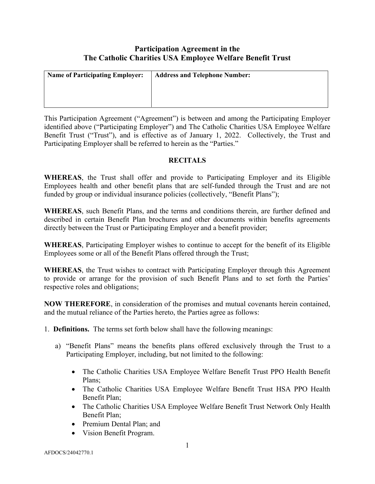# Participation Agreement in the The Catholic Charities USA Employee Welfare Benefit Trust

| <b>Name of Participating Employer:</b> | <b>Address and Telephone Number:</b> |
|----------------------------------------|--------------------------------------|
|                                        |                                      |
|                                        |                                      |
|                                        |                                      |

This Participation Agreement ("Agreement") is between and among the Participating Employer identified above ("Participating Employer") and The Catholic Charities USA Employee Welfare Benefit Trust ("Trust"), and is effective as of January 1, 2022. Collectively, the Trust and Participating Employer shall be referred to herein as the "Parties."

### **RECITALS**

WHEREAS, the Trust shall offer and provide to Participating Employer and its Eligible Employees health and other benefit plans that are self-funded through the Trust and are not funded by group or individual insurance policies (collectively, "Benefit Plans");

WHEREAS, such Benefit Plans, and the terms and conditions therein, are further defined and described in certain Benefit Plan brochures and other documents within benefits agreements directly between the Trust or Participating Employer and a benefit provider;

WHEREAS, Participating Employer wishes to continue to accept for the benefit of its Eligible Employees some or all of the Benefit Plans offered through the Trust;

WHEREAS, the Trust wishes to contract with Participating Employer through this Agreement to provide or arrange for the provision of such Benefit Plans and to set forth the Parties' respective roles and obligations;

NOW THEREFORE, in consideration of the promises and mutual covenants herein contained, and the mutual reliance of the Parties hereto, the Parties agree as follows:

- 1. Definitions. The terms set forth below shall have the following meanings:
	- a) "Benefit Plans" means the benefits plans offered exclusively through the Trust to a Participating Employer, including, but not limited to the following:
		- The Catholic Charities USA Employee Welfare Benefit Trust PPO Health Benefit Plans;
		- The Catholic Charities USA Employee Welfare Benefit Trust HSA PPO Health Benefit Plan;
		- The Catholic Charities USA Employee Welfare Benefit Trust Network Only Health Benefit Plan;
		- Premium Dental Plan; and
		- Vision Benefit Program.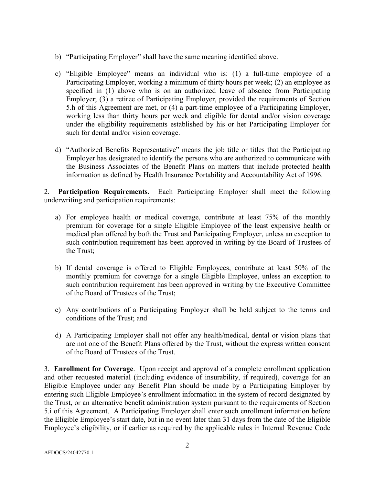- b) "Participating Employer" shall have the same meaning identified above.
- c) "Eligible Employee" means an individual who is: (1) a full-time employee of a Participating Employer, working a minimum of thirty hours per week; (2) an employee as specified in (1) above who is on an authorized leave of absence from Participating Employer; (3) a retiree of Participating Employer, provided the requirements of Section 5.h of this Agreement are met, or (4) a part-time employee of a Participating Employer, working less than thirty hours per week and eligible for dental and/or vision coverage under the eligibility requirements established by his or her Participating Employer for such for dental and/or vision coverage.
- d) "Authorized Benefits Representative" means the job title or titles that the Participating Employer has designated to identify the persons who are authorized to communicate with the Business Associates of the Benefit Plans on matters that include protected health information as defined by Health Insurance Portability and Accountability Act of 1996.

2. Participation Requirements. Each Participating Employer shall meet the following underwriting and participation requirements:

- a) For employee health or medical coverage, contribute at least 75% of the monthly premium for coverage for a single Eligible Employee of the least expensive health or medical plan offered by both the Trust and Participating Employer, unless an exception to such contribution requirement has been approved in writing by the Board of Trustees of the Trust;
- b) If dental coverage is offered to Eligible Employees, contribute at least 50% of the monthly premium for coverage for a single Eligible Employee, unless an exception to such contribution requirement has been approved in writing by the Executive Committee of the Board of Trustees of the Trust;
- c) Any contributions of a Participating Employer shall be held subject to the terms and conditions of the Trust; and
- d) A Participating Employer shall not offer any health/medical, dental or vision plans that are not one of the Benefit Plans offered by the Trust, without the express written consent of the Board of Trustees of the Trust.

3. Enrollment for Coverage. Upon receipt and approval of a complete enrollment application and other requested material (including evidence of insurability, if required), coverage for an Eligible Employee under any Benefit Plan should be made by a Participating Employer by entering such Eligible Employee's enrollment information in the system of record designated by the Trust, or an alternative benefit administration system pursuant to the requirements of Section 5.i of this Agreement. A Participating Employer shall enter such enrollment information before the Eligible Employee's start date, but in no event later than 31 days from the date of the Eligible Employee's eligibility, or if earlier as required by the applicable rules in Internal Revenue Code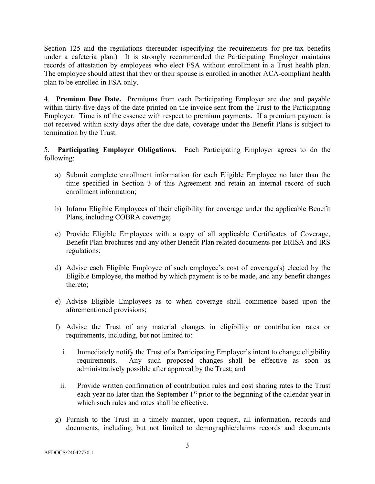Section 125 and the regulations thereunder (specifying the requirements for pre-tax benefits under a cafeteria plan.) It is strongly recommended the Participating Employer maintains records of attestation by employees who elect FSA without enrollment in a Trust health plan. The employee should attest that they or their spouse is enrolled in another ACA-compliant health plan to be enrolled in FSA only.

4. Premium Due Date. Premiums from each Participating Employer are due and payable within thirty-five days of the date printed on the invoice sent from the Trust to the Participating Employer. Time is of the essence with respect to premium payments. If a premium payment is not received within sixty days after the due date, coverage under the Benefit Plans is subject to termination by the Trust.

5. Participating Employer Obligations. Each Participating Employer agrees to do the following:

- a) Submit complete enrollment information for each Eligible Employee no later than the time specified in Section 3 of this Agreement and retain an internal record of such enrollment information;
- b) Inform Eligible Employees of their eligibility for coverage under the applicable Benefit Plans, including COBRA coverage;
- c) Provide Eligible Employees with a copy of all applicable Certificates of Coverage, Benefit Plan brochures and any other Benefit Plan related documents per ERISA and IRS regulations;
- d) Advise each Eligible Employee of such employee's cost of coverage(s) elected by the Eligible Employee, the method by which payment is to be made, and any benefit changes thereto;
- e) Advise Eligible Employees as to when coverage shall commence based upon the aforementioned provisions;
- f) Advise the Trust of any material changes in eligibility or contribution rates or requirements, including, but not limited to:
	- i. Immediately notify the Trust of a Participating Employer's intent to change eligibility requirements. Any such proposed changes shall be effective as soon as administratively possible after approval by the Trust; and
	- ii. Provide written confirmation of contribution rules and cost sharing rates to the Trust each year no later than the September  $1<sup>st</sup>$  prior to the beginning of the calendar year in which such rules and rates shall be effective.
- g) Furnish to the Trust in a timely manner, upon request, all information, records and documents, including, but not limited to demographic/claims records and documents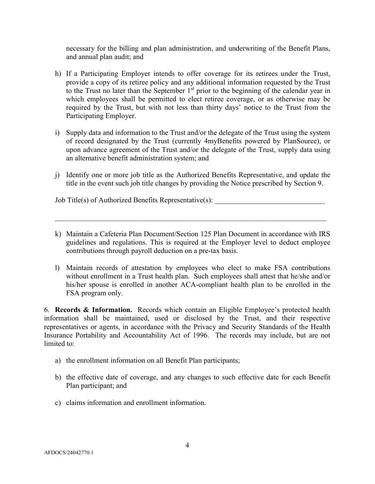necessary for the billing and plan administration, and underwriting of the Benefit Plans, and annual plan audit; and

- h) If a Participating Employer intends to offer coverage for its retirees under the Trust, provide a copy of its retiree policy and any additional information requested by the Trust to the Trust no later than the September  $1<sup>st</sup>$  prior to the beginning of the calendar year in which employees shall be permitted to elect retiree coverage, or as otherwise may be required by the Trust, but with not less than thirty days' notice to the Trust from the Participating Employer.
- i) Supply data and information to the Trust and/or the delegate of the Trust using the system of record designated by the Trust (currently 4myBenefits powered by PlanSource), or upon advance agreement of the Trust and/or the delegate of the Trust, supply data using an alternative benefit administration system; and
- j) Identify one or more job title as the Authorized Benefits Representative, and update the title in the event such job title changes by providing the Notice prescribed by Section 9.

Job Title(s) of Authorized Benefits Representative(s):

- k) Maintain a Cafeteria Plan Document/Section 125 Plan Document in accordance with IRS guidelines and regulations. This is required at the Employer level to deduct employee contributions through payroll deduction on a pre-tax basis.
- l) Maintain records of attestation by employees who elect to make FSA contributions without enrollment in a Trust health plan. Such employees shall attest that he/she and/or his/her spouse is enrolled in another ACA-compliant health plan to be enrolled in the FSA program only.

6. Records & Information. Records which contain an Eligible Employee's protected health information shall be maintained, used or disclosed by the Trust, and their respective representatives or agents, in accordance with the Privacy and Security Standards of the Health Insurance Portability and Accountability Act of 1996. The records may include, but are not limited to:

- a) the enrollment information on all Benefit Plan participants;
- b) the effective date of coverage, and any changes to such effective date for each Benefit Plan participant; and
- c) claims information and enrollment information.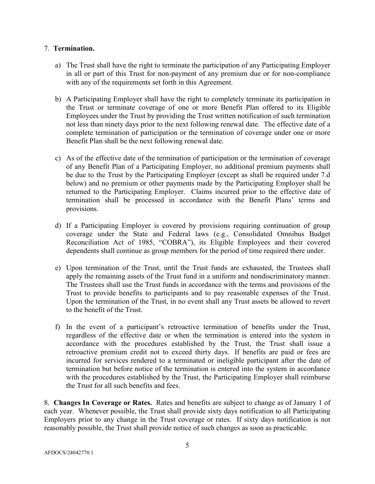### 7. Termination.

- a) The Trust shall have the right to terminate the participation of any Participating Employer in all or part of this Trust for non-payment of any premium due or for non-compliance with any of the requirements set forth in this Agreement.
- b) A Participating Employer shall have the right to completely terminate its participation in the Trust or terminate coverage of one or more Benefit Plan offered to its Eligible Employees under the Trust by providing the Trust written notification of such termination not less than ninety days prior to the next following renewal date. The effective date of a complete termination of participation or the termination of coverage under one or more Benefit Plan shall be the next following renewal date.
- c) As of the effective date of the termination of participation or the termination of coverage of any Benefit Plan of a Participating Employer, no additional premium payments shall be due to the Trust by the Participating Employer (except as shall be required under 7.d below) and no premium or other payments made by the Participating Employer shall be returned to the Participating Employer. Claims incurred prior to the effective date of termination shall be processed in accordance with the Benefit Plans' terms and provisions.
- d) If a Participating Employer is covered by provisions requiring continuation of group coverage under the State and Federal laws (e.g., Consolidated Omnibus Budget Reconciliation Act of 1985, "COBRA"), its Eligible Employees and their covered dependents shall continue as group members for the period of time required there under.
- e) Upon termination of the Trust, until the Trust funds are exhausted, the Trustees shall apply the remaining assets of the Trust fund in a uniform and nondiscriminatory manner. The Trustees shall use the Trust funds in accordance with the terms and provisions of the Trust to provide benefits to participants and to pay reasonable expenses of the Trust. Upon the termination of the Trust, in no event shall any Trust assets be allowed to revert to the benefit of the Trust.
- f) In the event of a participant's retroactive termination of benefits under the Trust, regardless of the effective date or when the termination is entered into the system in accordance with the procedures established by the Trust, the Trust shall issue a retroactive premium credit not to exceed thirty days. If benefits are paid or fees are incurred for services rendered to a terminated or ineligible participant after the date of termination but before notice of the termination is entered into the system in accordance with the procedures established by the Trust, the Participating Employer shall reimburse the Trust for all such benefits and fees.

8. Changes In Coverage or Rates. Rates and benefits are subject to change as of January 1 of each year. Whenever possible, the Trust shall provide sixty days notification to all Participating Employers prior to any change in the Trust coverage or rates. If sixty days notification is not reasonably possible, the Trust shall provide notice of such changes as soon as practicable.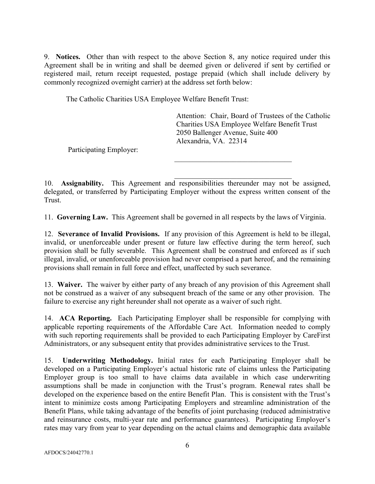9. Notices. Other than with respect to the above Section 8, any notice required under this Agreement shall be in writing and shall be deemed given or delivered if sent by certified or registered mail, return receipt requested, postage prepaid (which shall include delivery by commonly recognized overnight carrier) at the address set forth below:

The Catholic Charities USA Employee Welfare Benefit Trust:

Attention: Chair, Board of Trustees of the Catholic Charities USA Employee Welfare Benefit Trust 2050 Ballenger Avenue, Suite 400 Alexandria, VA. 22314

Participating Employer:

10. Assignability. This Agreement and responsibilities thereunder may not be assigned, delegated, or transferred by Participating Employer without the express written consent of the Trust.

11. Governing Law. This Agreement shall be governed in all respects by the laws of Virginia.

12. Severance of Invalid Provisions. If any provision of this Agreement is held to be illegal, invalid, or unenforceable under present or future law effective during the term hereof, such provision shall be fully severable. This Agreement shall be construed and enforced as if such illegal, invalid, or unenforceable provision had never comprised a part hereof, and the remaining provisions shall remain in full force and effect, unaffected by such severance.

13. Waiver. The waiver by either party of any breach of any provision of this Agreement shall not be construed as a waiver of any subsequent breach of the same or any other provision. The failure to exercise any right hereunder shall not operate as a waiver of such right.

14. ACA Reporting. Each Participating Employer shall be responsible for complying with applicable reporting requirements of the Affordable Care Act. Information needed to comply with such reporting requirements shall be provided to each Participating Employer by CareFirst Administrators, or any subsequent entity that provides administrative services to the Trust.

15. Underwriting Methodology. Initial rates for each Participating Employer shall be developed on a Participating Employer's actual historic rate of claims unless the Participating Employer group is too small to have claims data available in which case underwriting assumptions shall be made in conjunction with the Trust's program. Renewal rates shall be developed on the experience based on the entire Benefit Plan. This is consistent with the Trust's intent to minimize costs among Participating Employers and streamline administration of the Benefit Plans, while taking advantage of the benefits of joint purchasing (reduced administrative and reinsurance costs, multi-year rate and performance guarantees). Participating Employer's rates may vary from year to year depending on the actual claims and demographic data available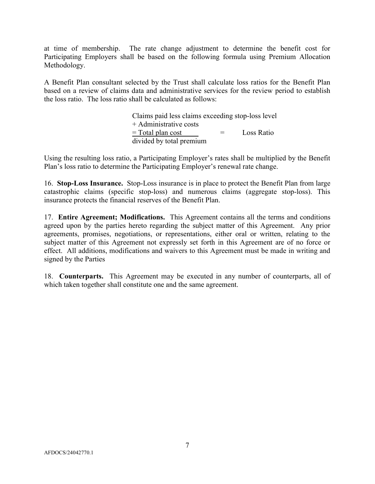at time of membership. The rate change adjustment to determine the benefit cost for Participating Employers shall be based on the following formula using Premium Allocation Methodology.

A Benefit Plan consultant selected by the Trust shall calculate loss ratios for the Benefit Plan based on a review of claims data and administrative services for the review period to establish the loss ratio. The loss ratio shall be calculated as follows:

> Claims paid less claims exceeding stop-loss level + Administrative costs  $=$  Total plan cost  $=$  Loss Ratio divided by total premium

Using the resulting loss ratio, a Participating Employer's rates shall be multiplied by the Benefit Plan's loss ratio to determine the Participating Employer's renewal rate change.

16. Stop-Loss Insurance. Stop-Loss insurance is in place to protect the Benefit Plan from large catastrophic claims (specific stop-loss) and numerous claims (aggregate stop-loss). This insurance protects the financial reserves of the Benefit Plan.

17. Entire Agreement; Modifications. This Agreement contains all the terms and conditions agreed upon by the parties hereto regarding the subject matter of this Agreement. Any prior agreements, promises, negotiations, or representations, either oral or written, relating to the subject matter of this Agreement not expressly set forth in this Agreement are of no force or effect. All additions, modifications and waivers to this Agreement must be made in writing and signed by the Parties

18. Counterparts. This Agreement may be executed in any number of counterparts, all of which taken together shall constitute one and the same agreement.